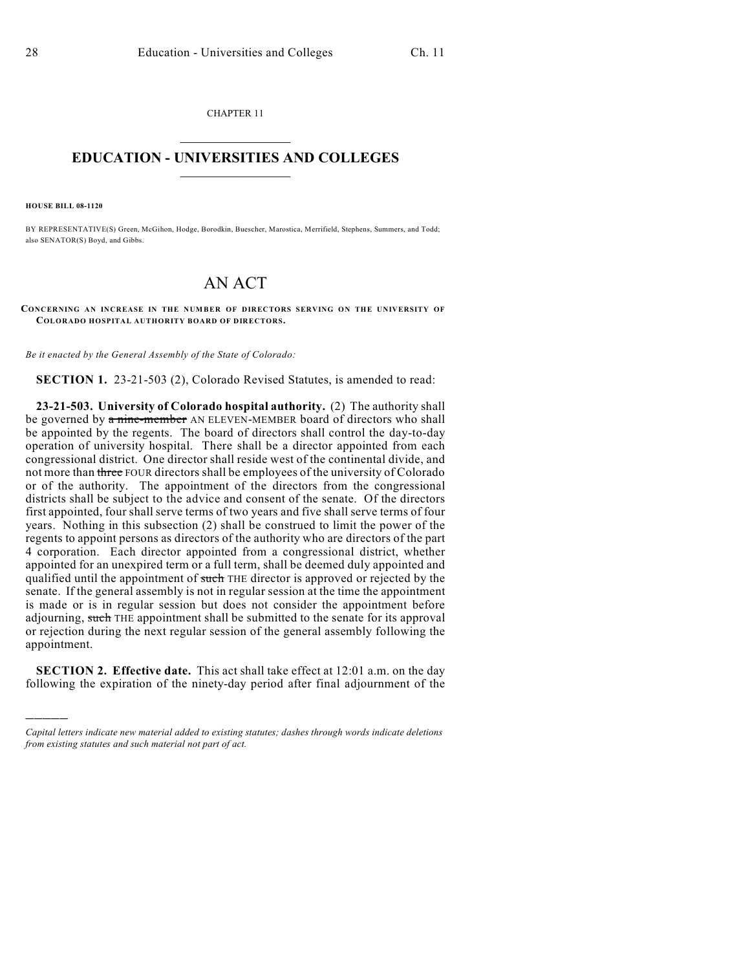CHAPTER 11  $\mathcal{L}_\text{max}$  . The set of the set of the set of the set of the set of the set of the set of the set of the set of the set of the set of the set of the set of the set of the set of the set of the set of the set of the set

## **EDUCATION - UNIVERSITIES AND COLLEGES**  $\_$

**HOUSE BILL 08-1120**

)))))

BY REPRESENTATIVE(S) Green, McGihon, Hodge, Borodkin, Buescher, Marostica, Merrifield, Stephens, Summers, and Todd; also SENATOR(S) Boyd, and Gibbs.

## AN ACT

**CONCERNING AN INCREASE IN THE NUMBER OF DIRECTORS SERVING ON THE UNIVERSITY OF COLORADO HOSPITAL AUTHORITY BOARD OF DIRECTORS.**

*Be it enacted by the General Assembly of the State of Colorado:*

**SECTION 1.** 23-21-503 (2), Colorado Revised Statutes, is amended to read:

**23-21-503. University of Colorado hospital authority.** (2) The authority shall be governed by a nine-member AN ELEVEN-MEMBER board of directors who shall be appointed by the regents. The board of directors shall control the day-to-day operation of university hospital. There shall be a director appointed from each congressional district. One director shall reside west of the continental divide, and not more than three FOUR directors shall be employees of the university of Colorado or of the authority. The appointment of the directors from the congressional districts shall be subject to the advice and consent of the senate. Of the directors first appointed, four shall serve terms of two years and five shall serve terms of four years. Nothing in this subsection (2) shall be construed to limit the power of the regents to appoint persons as directors of the authority who are directors of the part 4 corporation. Each director appointed from a congressional district, whether appointed for an unexpired term or a full term, shall be deemed duly appointed and qualified until the appointment of such THE director is approved or rejected by the senate. If the general assembly is not in regular session at the time the appointment is made or is in regular session but does not consider the appointment before adjourning, such THE appointment shall be submitted to the senate for its approval or rejection during the next regular session of the general assembly following the appointment.

**SECTION 2. Effective date.** This act shall take effect at 12:01 a.m. on the day following the expiration of the ninety-day period after final adjournment of the

*Capital letters indicate new material added to existing statutes; dashes through words indicate deletions from existing statutes and such material not part of act.*